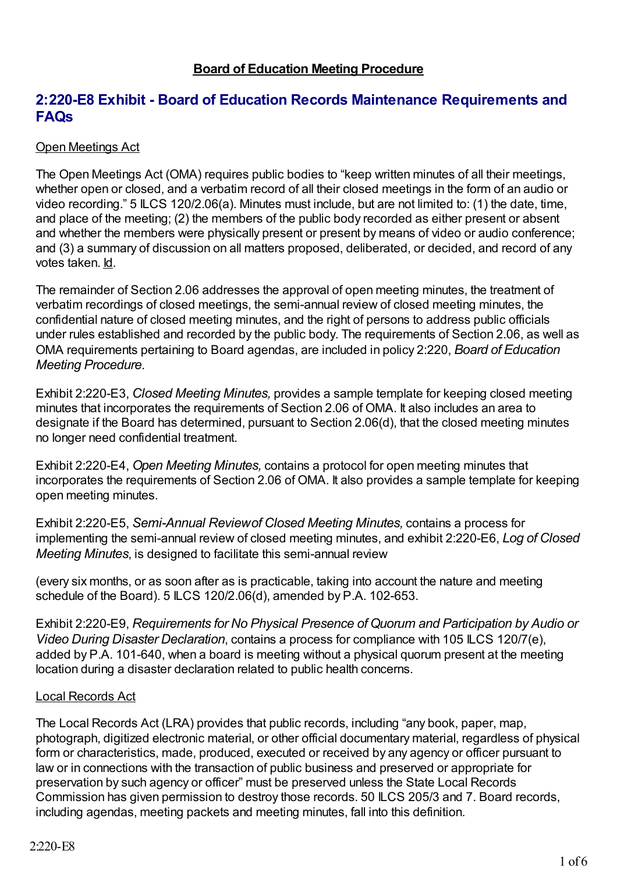### **Board of Education Meeting Procedure**

## **2:220-E8 Exhibit - Board of Education Records Maintenance Requirements and FAQs**

#### Open Meetings Act

The Open Meetings Act (OMA) requires public bodies to "keep written minutes of all their meetings, whether open or closed, and a verbatim record of all their closed meetings in the form of an audio or video recording." 5 ILCS 120/2.06(a). Minutes must include, but are not limited to: (1) the date, time, and place of the meeting; (2) the members of the public body recorded as either present or absent and whether the members were physically present or present by means of video or audio conference; and (3) a summary of discussion on all matters proposed, deliberated, or decided, and record of any votes taken. Id.

The remainder of Section 2.06 addresses the approval of open meeting minutes, the treatment of verbatim recordings of closed meetings, the semi-annual review of closed meeting minutes, the confidential nature of closed meeting minutes, and the right of persons to address public officials under rules established and recorded by the public body. The requirements of Section 2.06, as well as OMA requirements pertaining to Board agendas, are included in policy 2:220, *Board of Education Meeting Procedure*.

Exhibit 2:220-E3, *Closed Meeting Minutes,* provides a sample template for keeping closed meeting minutes that incorporates the requirements of Section 2.06 of OMA. It also includes an area to designate if the Board has determined, pursuant to Section 2.06(d), that the closed meeting minutes no longer need confidential treatment.

Exhibit 2:220-E4, *Open Meeting Minutes,* contains a protocol for open meeting minutes that incorporates the requirements of Section 2.06 of OMA. It also provides a sample template for keeping open meeting minutes.

Exhibit 2:220-E5, *Semi-Annual Reviewof Closed Meeting Minutes,* contains a process for implementing the semi-annual review of closed meeting minutes, and exhibit 2:220-E6, *Log of Closed Meeting Minutes*, is designed to facilitate this semi-annual review

(every six months, or as soon after as is practicable, taking into account the nature and meeting schedule of the Board). 5 ILCS 120/2.06(d), amended by P.A. 102-653.

Exhibit 2:220-E9, *Requirements for No Physical Presence of Quorum and Participation by Audio or Video During Disaster Declaration*, contains a process for compliance with 105 ILCS 120/7(e), added by P.A. 101-640, when a board is meeting without a physical quorum present at the meeting location during a disaster declaration related to public health concerns.

#### Local Records Act

The Local Records Act (LRA) provides that public records, including "any book, paper, map, photograph, digitized electronic material, or other official documentary material, regardless of physical form or characteristics, made, produced, executed or received by any agency or officer pursuant to law or in connections with the transaction of public business and preserved or appropriate for preservation by such agency or officer" must be preserved unless the State Local Records Commission has given permission to destroy those records. 50 ILCS 205/3 and 7. Board records, including agendas, meeting packets and meeting minutes, fall into this definition.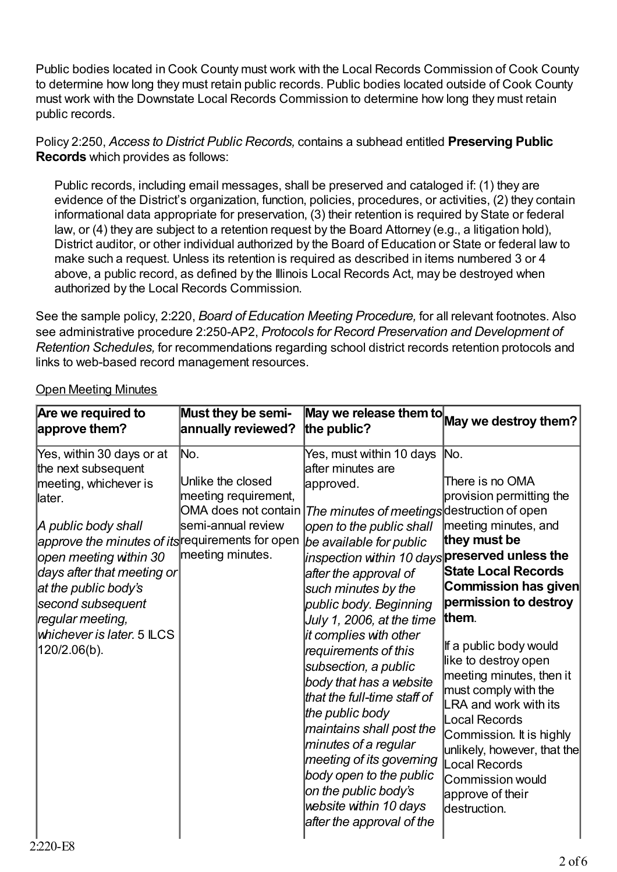Public bodies located in Cook County must work with the Local Records Commission of Cook County to determine how long they must retain public records. Public bodies located outside of Cook County must work with the Downstate Local Records Commission to determine how long they must retain public records.

Policy 2:250, *Access to District Public Records,* contains a subhead entitled **Preserving Public Records** which provides as follows:

Public records, including email messages, shall be preserved and cataloged if: (1) they are evidence of the District's organization, function, policies, procedures, or activities, (2) they contain informational data appropriate for preservation, (3) their retention is required by State or federal law, or (4) they are subject to a retention request by the Board Attorney (e.g., a litigation hold), District auditor, or other individual authorized by the Board of Education or State or federal law to make such a request. Unless its retention is required as described in items numbered 3 or 4 above, a public record, as defined by the Illinois Local Records Act, may be destroyed when authorized by the Local Records Commission.

See the sample policy, 2:220, *Board of Education Meeting Procedure,* for all relevant footnotes. Also see administrative procedure 2:250-AP2, *Protocols for Record Preservation and Development of Retention Schedules,* for recommendations regarding school district records retention protocols and links to web-based record management resources.

| Must they be semi-<br>Are we required to<br>annually reviewed?<br>approve them?                                                                                                                                                                                                                                                                                                                                                                                     | the public?                                                                                                                                                                                                                                                                                                                                                                                                                                                                                                                                                                                                                                                                                 | $\overline{\mathsf{May}}$ we release them to $\mathsf{ May}$ we destroy them?                                                                                                                                                                                                                                                                                                                                                                                                        |
|---------------------------------------------------------------------------------------------------------------------------------------------------------------------------------------------------------------------------------------------------------------------------------------------------------------------------------------------------------------------------------------------------------------------------------------------------------------------|---------------------------------------------------------------------------------------------------------------------------------------------------------------------------------------------------------------------------------------------------------------------------------------------------------------------------------------------------------------------------------------------------------------------------------------------------------------------------------------------------------------------------------------------------------------------------------------------------------------------------------------------------------------------------------------------|--------------------------------------------------------------------------------------------------------------------------------------------------------------------------------------------------------------------------------------------------------------------------------------------------------------------------------------------------------------------------------------------------------------------------------------------------------------------------------------|
| Yes, within 30 days or at<br>No.<br>the next subsequent<br>Unlike the closed<br>meeting, whichever is<br>meeting requirement,<br>llater.<br><b>OMA</b> does not contain<br>semi-annual review<br>A public body shall<br>approve the minutes of its requirements for open<br>meeting minutes.<br>open meeting within 30<br>days after that meeting or<br>at the public body's<br>second subsequent<br>regular meeting,<br>whichever is later. 5 ILCS<br>120/2.06(b). | Yes, must within 10 days<br>after minutes are<br>approved.<br>The minutes of meetings destruction of open<br>open to the public shall<br>be available for public<br>inspection within 10 days $ {\sf presence}$ reserved unless the<br>after the approval of<br>such minutes by the<br>public body. Beginning<br>July 1, 2006, at the time<br>it complies with other<br>requirements of this<br>subsection, a public<br>body that has a website<br>that the full-time staff of<br>the public body<br>maintains shall post the<br>minutes of a regular<br>meeting of its governing<br>body open to the public<br>on the public body's<br>website within 10 days<br>after the approval of the | No.<br>There is no OMA<br>provision permitting the<br>meeting minutes, and<br>they must be<br><b>State Local Records</b><br>Commission has given<br>permission to destroy<br>them.<br>If a public body would<br>like to destroy open<br>meeting minutes, then it<br>must comply with the<br>LRA and work with its<br><b>Local Records</b><br>Commission. It is highly<br>unlikely, however, that the<br><b>Local Records</b><br>Commission would<br>approve of their<br>destruction. |

### Open Meeting Minutes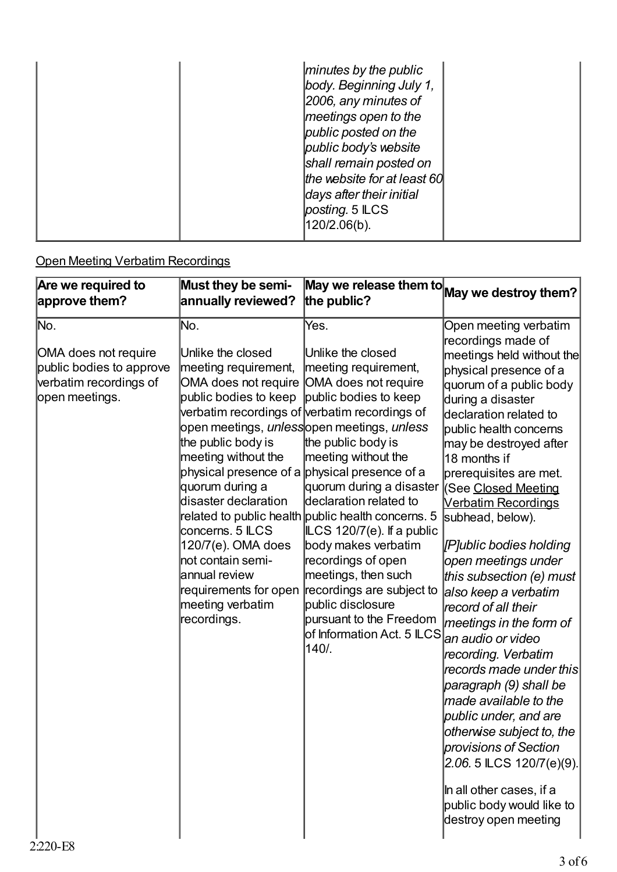| minutes by the public<br>body. Beginning July 1,<br>2006, any minutes of<br>meetings open to the<br>public posted on the<br>public body's website<br>shall remain posted on<br>the website for at least 60<br>days after their initial<br>posting. 5 ILCS |  |
|-----------------------------------------------------------------------------------------------------------------------------------------------------------------------------------------------------------------------------------------------------------|--|
| 120/2.06(b).                                                                                                                                                                                                                                              |  |

# Open Meeting Verbatim Recordings

| Are we required to                                                                                              | Must they be semi-                                                                                                                                                                                                                                                                                                                | May we release them to May we destroy them?                                                                                                                                                                                                                                                                                                                                                                                                                                                                                                                                                                                                     |                                                                                                                                                                                                                                                                                                                                                                                                                                                                                                                                                                                                                                                                                                                                                                                                                                   |
|-----------------------------------------------------------------------------------------------------------------|-----------------------------------------------------------------------------------------------------------------------------------------------------------------------------------------------------------------------------------------------------------------------------------------------------------------------------------|-------------------------------------------------------------------------------------------------------------------------------------------------------------------------------------------------------------------------------------------------------------------------------------------------------------------------------------------------------------------------------------------------------------------------------------------------------------------------------------------------------------------------------------------------------------------------------------------------------------------------------------------------|-----------------------------------------------------------------------------------------------------------------------------------------------------------------------------------------------------------------------------------------------------------------------------------------------------------------------------------------------------------------------------------------------------------------------------------------------------------------------------------------------------------------------------------------------------------------------------------------------------------------------------------------------------------------------------------------------------------------------------------------------------------------------------------------------------------------------------------|
| approve them?                                                                                                   | annually reviewed?                                                                                                                                                                                                                                                                                                                | the public?                                                                                                                                                                                                                                                                                                                                                                                                                                                                                                                                                                                                                                     |                                                                                                                                                                                                                                                                                                                                                                                                                                                                                                                                                                                                                                                                                                                                                                                                                                   |
| No.<br>OMA does not require<br>public bodies to approve<br>verbatim recordings of<br>open meetings.<br>2:220-E8 | No.<br>Unlike the closed<br>meeting requirement,<br>OMA does not require OMA does not require<br>public bodies to keep<br>the public body is<br>meeting without the<br>quorum during a<br>disaster declaration<br>concerns. 5 ILCS<br>120/7(e). OMA does<br>not contain semi-<br>annual review<br>meeting verbatim<br>recordings. | Yes.<br>Unlike the closed<br>meeting requirement,<br>public bodies to keep<br>verbatim recordings of verbatim recordings of<br>open meetings, <i>unless</i> lopen meetings, <i>unless</i><br>the public body is<br>meeting without the<br>physical presence of a physical presence of a<br>quorum during a disaster<br>declaration related to<br>related to public health public health concerns. 5<br>ILCS 120/7(e). If a public<br>body makes verbatim<br>recordings of open<br>meetings, then such<br>requirements for open recordings are subject to<br>public disclosure<br>pursuant to the Freedom<br>of Information Act. 5 ILCS<br>140/. | Open meeting verbatim<br>recordings made of<br>meetings held without the<br>physical presence of a<br>quorum of a public body<br>during a disaster<br>declaration related to<br>public health concerns<br>may be destroyed after<br>18 months if<br>prerequisites are met.<br>(See Closed Meeting<br><b>Verbatim Recordings</b><br>subhead, below).<br>[P]ublic bodies holding<br>open meetings under<br>this subsection (e) must<br>also keep a verbatim<br>record of all their<br>meetings in the form of<br>an audio or video<br>recording. Verbatim<br>records made under this<br>paragraph (9) shall be<br>made available to the<br>public under, and are<br>otherwise subject to, the<br>provisions of Section<br>2.06.5 ILCS 120/7(e)(9).<br>In all other cases, if a<br>public body would like to<br>destroy open meeting |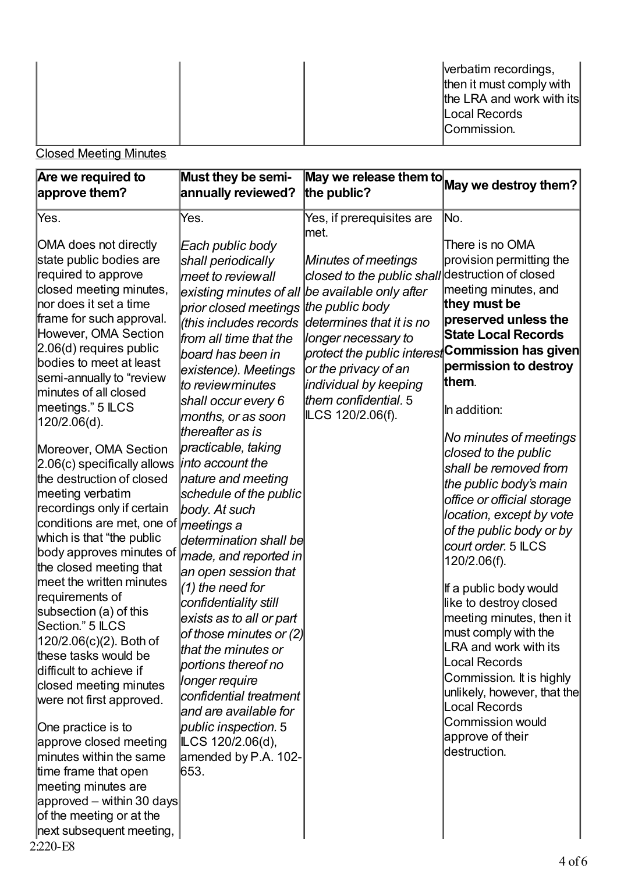|  |  | verbatim recordings,<br>then it must comply with<br>the LRA and work with its<br>Local Records<br>Commission. |
|--|--|---------------------------------------------------------------------------------------------------------------|

**Closed Meeting Minutes** 

| Are we required to                                                                                                                                                                                                                                                                                                                                                                                                                                                                                                                                                                                                                                                                                                                                                                                                                            | Must they be semi-                                                                                                                                                                                                                                                                                                                                                                                                                                                                                                                                                                                                                                                                                                             | $\boxed{\textsf{May we release them to}}$ May we destroy them?                                                                                                                                                                                                                                                 |                                                                                                                                                                                                                                                                                                                                                                                                                                                                                                                                                                                                                                                                                                                 |
|-----------------------------------------------------------------------------------------------------------------------------------------------------------------------------------------------------------------------------------------------------------------------------------------------------------------------------------------------------------------------------------------------------------------------------------------------------------------------------------------------------------------------------------------------------------------------------------------------------------------------------------------------------------------------------------------------------------------------------------------------------------------------------------------------------------------------------------------------|--------------------------------------------------------------------------------------------------------------------------------------------------------------------------------------------------------------------------------------------------------------------------------------------------------------------------------------------------------------------------------------------------------------------------------------------------------------------------------------------------------------------------------------------------------------------------------------------------------------------------------------------------------------------------------------------------------------------------------|----------------------------------------------------------------------------------------------------------------------------------------------------------------------------------------------------------------------------------------------------------------------------------------------------------------|-----------------------------------------------------------------------------------------------------------------------------------------------------------------------------------------------------------------------------------------------------------------------------------------------------------------------------------------------------------------------------------------------------------------------------------------------------------------------------------------------------------------------------------------------------------------------------------------------------------------------------------------------------------------------------------------------------------------|
| approve them?                                                                                                                                                                                                                                                                                                                                                                                                                                                                                                                                                                                                                                                                                                                                                                                                                                 | annually reviewed?                                                                                                                                                                                                                                                                                                                                                                                                                                                                                                                                                                                                                                                                                                             | the public?                                                                                                                                                                                                                                                                                                    |                                                                                                                                                                                                                                                                                                                                                                                                                                                                                                                                                                                                                                                                                                                 |
| Yes.                                                                                                                                                                                                                                                                                                                                                                                                                                                                                                                                                                                                                                                                                                                                                                                                                                          | Yes.                                                                                                                                                                                                                                                                                                                                                                                                                                                                                                                                                                                                                                                                                                                           | Yes, if prerequisites are                                                                                                                                                                                                                                                                                      | No.                                                                                                                                                                                                                                                                                                                                                                                                                                                                                                                                                                                                                                                                                                             |
| OMA does not directly<br>state public bodies are<br>required to approve<br>closed meeting minutes,<br>nor does it set a time<br>frame for such approval.<br>However, OMA Section<br>2.06(d) requires public<br>bodies to meet at least<br>semi-annually to "review<br>minutes of all closed<br>meetings." 5 ILCS<br>120/2.06(d).<br>Moreover, OMA Section<br>2.06(c) specifically allows<br>the destruction of closed<br>meeting verbatim<br>recordings only if certain<br>conditions are met, one of <i>meetings a</i><br>which is that "the public<br>body approves minutes of<br>the closed meeting that<br>meet the written minutes<br>requirements of<br>subsection (a) of this<br>lSection." 5 ILCS<br>120/2.06(c)(2). Both of<br>these tasks would be<br>difficult to achieve if<br>closed meeting minutes<br>were not first approved. | Each public body<br>shall periodically<br>meet to reviewall<br>existing minutes of all<br>prior closed meetings<br>(this includes records<br>from all time that the<br>board has been in<br>existence). Meetings<br><i>to reviewminutes</i><br>shall occur every 6<br>months, or as soon<br>thereafter as is<br>practicable, taking<br>into account the<br>nature and meeting<br>schedule of the public<br>body. At such<br>determination shall be<br>made, and reported in<br>an open session that<br>$(1)$ the need for<br>confidentiality still<br>exists as to all or part<br>of those minutes or $(2)$<br>that the minutes or<br>portions thereof no<br>longer require<br>confidential treatment<br>and are available for | lmet.<br>Minutes of meetings<br>closed to the public shall destruction of closed<br>be available only after<br>the public body<br>determines that it is no<br>longer necessary to<br>protect the public interest<br>or the privacy of an<br>individual by keeping<br>them confidential. 5<br>ILCS 120/2.06(f). | There is no OMA<br>provision permitting the<br>meeting minutes, and<br>they must be<br>preserved unless the<br><b>State Local Records</b><br><b>Commission has given</b><br>permission to destroy<br>them.<br>In addition:<br>No minutes of meetings<br>closed to the public<br>shall be removed from<br>the public body's main<br>office or official storage<br>location, except by vote<br>of the public body or by<br>court order. 5 ILCS<br>120/2.06(f).<br>If a public body would<br>like to destroy closed<br>meeting minutes, then it<br>must comply with the<br><b>LRA and work with its</b><br><b>Local Records</b><br>Commission. It is highly<br>unlikely, however, that the<br><b>Local Records</b> |
| One practice is to<br>approve closed meeting<br>minutes within the same<br>time frame that open<br>meeting minutes are<br>approved – within 30 days                                                                                                                                                                                                                                                                                                                                                                                                                                                                                                                                                                                                                                                                                           | public inspection. 5<br>ILCS 120/2.06(d),<br>amended by $P.A. 102-$<br>653.                                                                                                                                                                                                                                                                                                                                                                                                                                                                                                                                                                                                                                                    |                                                                                                                                                                                                                                                                                                                | <b>Commission would</b><br>approve of their<br>destruction.                                                                                                                                                                                                                                                                                                                                                                                                                                                                                                                                                                                                                                                     |
| of the meeting or at the<br>next subsequent meeting,                                                                                                                                                                                                                                                                                                                                                                                                                                                                                                                                                                                                                                                                                                                                                                                          |                                                                                                                                                                                                                                                                                                                                                                                                                                                                                                                                                                                                                                                                                                                                |                                                                                                                                                                                                                                                                                                                |                                                                                                                                                                                                                                                                                                                                                                                                                                                                                                                                                                                                                                                                                                                 |